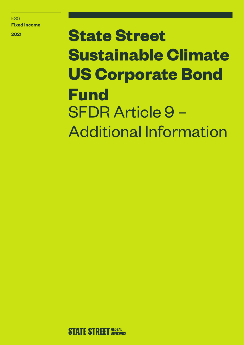ESG **Fixed Income**

**2021**

# **State Street Sustainable Climate US Corporate Bond Fund** SFDR Article 9 – Additional Information

**STATE STREET GLOBAL**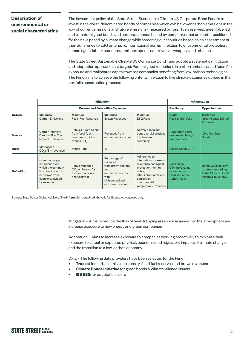# **Description of environmental or social characteristics**

The investment policy of the State Street Sustainable Climate US Corporate Bond Fund is to invest in the dollar-denominated bonds of companies which exhibit lower carbon emissions in the way of current emissions and future emissions (measured by fossil fuel reserves), green labelled and climate-aligned bonds and corporate bonds issued by companies that are better positioned for the risks posed by climate change while screening out securities based on an assessment of their adherence to ESG criteria, i.e. international norms in relation to environmental protection, human rights, labour standards, anti-corruption, controversial weapons and tobacco.

The State Street Sustainable Climate US Corporate Bond Fund adopts a systematic mitigation and adaptation approach that targets Paris-aligned reductions in carbon emissions and fossil fuel exposure and reallocates capital towards companies benefiting from low-carbon technologies. The Fund aims to achieve the following criteria in relation to five climate categories utilised in the portfolio construction process:

|                   |                                                                                                                                    | <b>MItigation</b>                                                                     | +Adaptation                                                                                                               |                                                                                                                                                                                   |                                                                                                   |                                                                                                 |
|-------------------|------------------------------------------------------------------------------------------------------------------------------------|---------------------------------------------------------------------------------------|---------------------------------------------------------------------------------------------------------------------------|-----------------------------------------------------------------------------------------------------------------------------------------------------------------------------------|---------------------------------------------------------------------------------------------------|-------------------------------------------------------------------------------------------------|
|                   |                                                                                                                                    | <b>Current and Future Risk Exposure</b>                                               | <b>Resiliency</b>                                                                                                         | <b>Opportunities</b>                                                                                                                                                              |                                                                                                   |                                                                                                 |
| <b>Criteria</b>   | <b>Minimise</b><br><b>Carbon Emissions</b>                                                                                         | <b>Minimise</b><br><b>Fossil Fuel Reserves</b>                                        | <b>Minimise</b><br><b>Brown Revenues</b>                                                                                  | <b>Minimise</b><br><b>ESG Risks</b>                                                                                                                                               | <b>Build</b><br><b>Resilient Portfolio</b>                                                        | <b>Maximise</b><br>Green Bonds & Green<br>Proceeds                                              |
| <b>Metrics</b>    | Carbon Intensity<br>Direct + First Tier<br><b>Indirect Emissions</b>                                                               | <b>Total GHG emissions</b><br>from fossil fuel<br>reserves in million<br>tonnes $CO2$ | Revenues from<br>extractives activities                                                                                   | Norms-based and<br>controversial product<br>involvement<br>screening                                                                                                              | <b>Adaptation Score</b><br>on climate change<br>preparedness                                      | <b>Certified Green</b><br><b>Bonds</b>                                                          |
| <b>Units</b>      | Metric tons<br>CO <sub>s</sub> e/\$m revenues                                                                                      | <b>Metric Tons</b>                                                                    | %                                                                                                                         |                                                                                                                                                                                   | Scaled Range $1 - 4$                                                                              |                                                                                                 |
| <b>Definition</b> | Greenhouse gas<br>emissions over<br>which the company<br>has direct control<br>or derives from<br>suppliers, divided<br>by revenue | Total embedded<br>CO <sub>2</sub> emissions for<br>the company in a<br>financial year | Percentage of<br>revenues<br>from brown sectors<br>and<br>extractive sectors<br>with<br>high embedded<br>carbon emissions | Adherence to<br>international norms in<br>relation to ecological<br>protection, human<br>rights,<br>labour standards, anti<br>corruption,<br>controversial<br>weapons and tobacco | Position on<br><b>Climate Change</b><br>Greenhouse<br><b>Gas Reduction</b><br><b>Action Plans</b> | Bonds which qualify<br>as green according<br>to the Climate Bonds<br><b>Initiative Taxonomy</b> |

Source: State Street Global Advisors. The information contained above is for illustrative purposes only.

Mitigation – Aims to reduce the flow of heat-trapping greenhouse gases into the atmosphere and increase exposure to new energy and green companies

Adaptation – Aims to increase exposure to companies working proactively to minimise their exposure to actual or expected physical, economic and regulatory impacts of climate change and the transition to a low-carbon economy.

Data – The following data providers have been selected for the Fund:

- **• Trucost** for carbon emission intensity, fossil fuel reserves and brown revenues
- **• Climate Bonds Initiative** for green bonds & climate-aligned issuers
- **ISS ESG** for adaptation score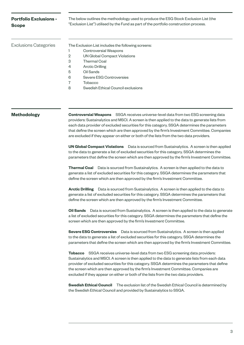| <b>Portfolio Exclusions -</b><br><b>Scope</b> |                                                    | The below outlines the methodology used to produce the ESG Stock Exclusion List (the<br>"Exclusion List") utilised by the Fund as part of the portfolio construction process. |  |  |  |
|-----------------------------------------------|----------------------------------------------------|-------------------------------------------------------------------------------------------------------------------------------------------------------------------------------|--|--|--|
| <b>Exclusions Categories</b>                  | The Exclusion List includes the following screens: |                                                                                                                                                                               |  |  |  |
|                                               |                                                    | Controversial Weapons                                                                                                                                                         |  |  |  |
|                                               | $\overline{2}$                                     | UN Global Compact Violations                                                                                                                                                  |  |  |  |
|                                               | 3                                                  | <b>Thermal Coal</b>                                                                                                                                                           |  |  |  |
|                                               | 4                                                  | <b>Arctic Drilling</b>                                                                                                                                                        |  |  |  |
|                                               | 5                                                  | Oil Sands                                                                                                                                                                     |  |  |  |
|                                               | 6                                                  | Severe ESG Controversies                                                                                                                                                      |  |  |  |
|                                               |                                                    | Tobacco                                                                                                                                                                       |  |  |  |
|                                               | 8                                                  | Swedish Ethical Council exclusions                                                                                                                                            |  |  |  |

**Methodology Controversial Weapons** SSGA receives universe-level data from two ESG screening data providers: Sustainalytics and MSCI. A screen is then applied to the data to generate lists from each data provider of excluded securities for this category. SSGA determines the parameters that define the screen which are then approved by the firm's Investment Committee. Companies are excluded if they appear on either or both of the lists from the two data providers.

> **UN Global Compact Violations** Data is sourced from Sustainalytics. A screen is then applied to the data to generate a list of excluded securities for this category. SSGA determines the parameters that define the screen which are then approved by the firm's Investment Committee.

**Thermal Coal** Data is sourced from Sustainalytics. A screen is then applied to the data to generate a list of excluded securities for this category. SSGA determines the parameters that define the screen which are then approved by the firm's Investment Committee.

**Arctic Drilling** Data is sourced from Sustainalytics. A screen is then applied to the data to generate a list of excluded securities for this category. SSGA determines the parameters that define the screen which are then approved by the firm's Investment Committee.

**Oil Sands** Data is sourced from Sustainalytics. A screen is then applied to the data to generate a list of excluded securities for this category. SSGA determines the parameters that define the screen which are then approved by the firm's Investment Committee.

**Severe ESG Controversies** Data is sourced from Sustainalytics. A screen is then applied to the data to generate a list of excluded securities for this category. SSGA determines the parameters that define the screen which are then approved by the firm's Investment Committee.

**Tobacco** SSGA receives universe-level data from two ESG screening data providers: Sustainalytics and MSCI. A screen is then applied to the data to generate lists from each data provider of excluded securities for this category. SSGA determines the parameters that define the screen which are then approved by the firm's Investment Committee. Companies are excluded if they appear on either or both of the lists from the two data providers.

**Swedish Ethical Council** The exclusion list of the Swedish Ethical Council is determined by the Swedish Ethical Council and provided by Sustainalytics to SSGA.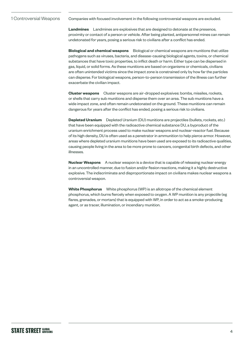#### Companies with focused involvement in the following controversial weapons are excluded. 1 Controversial Weapons

**Landmines** Landmines are explosives that are designed to detonate at the presence, proximity or contact of a person or vehicle. After being planted, antipersonnel mines can remain undetonated for years, posing a serious risk to civilians after a conflict has ended.

**Biological and chemical weapons** Biological or chemical weapons are munitions that utilize pathogens such as viruses, bacteria, and disease-causing biological agents, toxins, or chemical substances that have toxic properties, to inflict death or harm. Either type can be dispersed in gas, liquid, or solid forms. As these munitions are based on organisms or chemicals, civilians are often unintended victims since the impact zone is constrained only by how far the particles can disperse. For biological weapons, person-to-person transmission of the illness can further exacerbate the civilian impact.

**Cluster weapons** Cluster weapons are air-dropped explosives: bombs, missiles, rockets, or shells that carry sub munitions and disperse them over an area. The sub munitions have a wide impact zone, and often remain undetonated on the ground. These munitions can remain dangerous for years after the conflict has ended, posing a serious risk to civilians.

**Depleted Uranium** Depleted Uranium (DU) munitions are projectiles (bullets, rockets, etc.) that have been equipped with the radioactive chemical substance DU, a byproduct of the uranium enrichment process used to make nuclear weapons and nuclear-reactor fuel. Because of its high density, DU is often used as a penetrator in ammunition to help pierce armor. However, areas where depleted uranium munitions have been used are exposed to its radioactive qualities, causing people living in the area to be more prone to cancers, congenital birth defects, and other illnesses.

**Nuclear Weapons** A nuclear weapon is a device that is capable of releasing nuclear energy in an uncontrolled manner, due to fusion and/or fission reactions, making it a highly destructive explosive. The indiscriminate and disproportionate impact on civilians makes nuclear weapons a controversial weapon.

**White Phosphorus** White phosphorus (WP) is an allotrope of the chemical element phosphorus, which burns fiercely when exposed to oxygen. A WP munition is any projectile (eg flares, grenades, or mortars) that is equipped with WP, in order to act as a smoke-producing agent, or as tracer, illumination, or incendiary munition.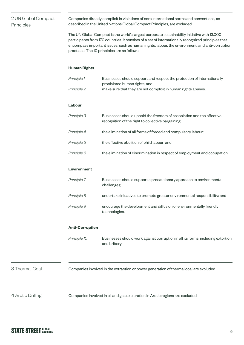# 2 UN Global Compact Principles

Companies directly complicit in violations of core international norms and conventions, as described in the United Nations Global Compact Principles, are excluded.

The UN Global Compact is the world's largest corporate sustainability initiative with 13,000 participants from 170 countries. It consists of a set of internationally recognized principles that encompass important issues, such as human rights, labour, the environment, and anti-corruption practices. The 10 principles are as follows:

#### **Human Rights**

| Principle 1 | Businesses should support and respect the protection of internationally<br>proclaimed human rights; and                     |
|-------------|-----------------------------------------------------------------------------------------------------------------------------|
| Principle 2 | make sure that they are not complicit in human rights abuses.                                                               |
| Labour      |                                                                                                                             |
| Principle 3 | Businesses should uphold the freedom of association and the effective<br>recognition of the right to collective bargaining; |
| Principle 4 | the elimination of all forms of forced and compulsory labour;                                                               |
| Principle 5 | the effective abolition of child labour; and                                                                                |
| Principle 6 | the elimination of discrimination in respect of employment and occupation.                                                  |

### **Environment**

| Principle 7 | Businesses should support a precautionary approach to environmental<br>challenges;   |
|-------------|--------------------------------------------------------------------------------------|
| Principle 8 | undertake initiatives to promote greater environmental responsibility; and           |
| Principle 9 | encourage the development and diffusion of environmentally friendly<br>technologies. |

#### **Anti-Corruption**

*Principle 10* Businesses should work against corruption in all its forms, including extortion and bribery.

3 Thermal Coal Companies involved in the extraction or power generation of thermal coal are excluded.

4 Arctic Drilling Companies involved in oil and gas exploration in Arctic regions are excluded.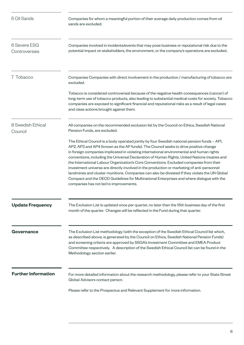| 5 Oil Sands                   | Companies for whom a meaningful portion of their average daily production comes from oil<br>sands are excluded.                                                                                                                                                                                                                                                                                                                                                                                                                                                                                                                                                                                                                                                                                                     |
|-------------------------------|---------------------------------------------------------------------------------------------------------------------------------------------------------------------------------------------------------------------------------------------------------------------------------------------------------------------------------------------------------------------------------------------------------------------------------------------------------------------------------------------------------------------------------------------------------------------------------------------------------------------------------------------------------------------------------------------------------------------------------------------------------------------------------------------------------------------|
| 6 Severe ESG<br>Controversies | Companies involved in incidents/events that may pose business or reputational risk due to the<br>potential impact on stakeholders, the environment, or the company's operations are excluded                                                                                                                                                                                                                                                                                                                                                                                                                                                                                                                                                                                                                        |
| 7 Tobacco                     | Companies Companies with direct involvement in the production / manufacturing of tobacco are<br>excluded.                                                                                                                                                                                                                                                                                                                                                                                                                                                                                                                                                                                                                                                                                                           |
|                               | Tobacco is considered controversial because of the negative health consequences (cancer) of<br>long-term use of tobacco products, also leading to substantial medical costs for society. Tobacco<br>companies are exposed to significant financial and reputational risks as a result of legal cases<br>and class actions brought against them.                                                                                                                                                                                                                                                                                                                                                                                                                                                                     |
| 8 Swedish Ethical<br>Council  | All companies on the recommended exclusion list by the Council on Ethics, Swedish National<br>Pension Funds, are excluded.                                                                                                                                                                                                                                                                                                                                                                                                                                                                                                                                                                                                                                                                                          |
|                               | The Ethical Council is a body operated jointly by four Swedish national pension funds - AP1,<br>AP2, AP3 and AP4 (known as the AP funds). The Council seeks to drive positive change<br>in foreign companies implicated in violating international environmental and human rights<br>conventions, including the Universal Declaration of Human Rights, United Nations treaties and<br>the International Labour Organization's Core Conventions. Excluded companies from their<br>investment universe are directly involved in the production or marketing of anti-personnel<br>landmines and cluster munitions. Companies can also be divested if they violate the UN Global<br>Compact and the OECD Guidelines for Multinational Enterprises and where dialogue with the<br>companies has not led to improvements. |
| <b>Update Frequency</b>       | The Exclusion List is updated once per quarter, no later than the 15th business day of the first<br>month of the quarter. Changes will be reflected in the Fund during that quarter.                                                                                                                                                                                                                                                                                                                                                                                                                                                                                                                                                                                                                                |
| <b>Governance</b>             | The Exclusion List methodology (with the exception of the Swedish Ethical Council list which,<br>as described above, is generated by the Council on Ethics, Swedish National Pension Funds)<br>and screening criteria are approved by SSGA's Investment Committee and EMEA Product<br>Committee respectively. A description of the Swedish Ethical Council list can be found in the<br>Methodology section earlier.                                                                                                                                                                                                                                                                                                                                                                                                 |
| <b>Further Information</b>    | For more detailed information about the research methodology, please refer to your State Street<br>Global Advisors contact person.                                                                                                                                                                                                                                                                                                                                                                                                                                                                                                                                                                                                                                                                                  |
|                               | Please refer to the Prospectus and Relevant Supplement for more information.                                                                                                                                                                                                                                                                                                                                                                                                                                                                                                                                                                                                                                                                                                                                        |